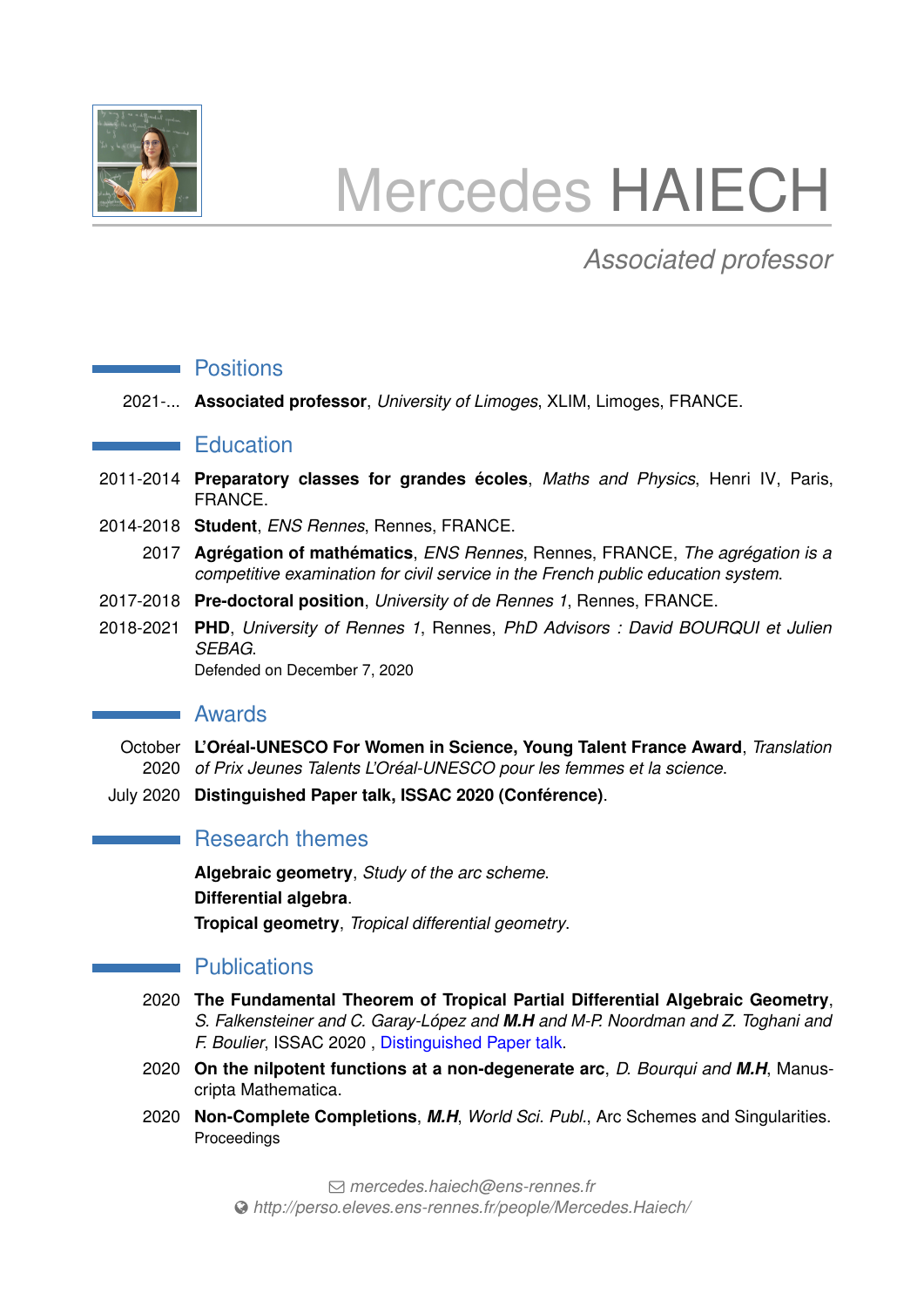

# Mercedes HAIECH

# *Associated professor*

#### **Positions**

2021-... **Associated professor**, *University of Limoges*, XLIM, Limoges, FRANCE.

#### **Education**

- 2011-2014 **Preparatory classes for grandes écoles**, *Maths and Physics*, Henri IV, Paris, FRANCE.
- 2014-2018 **Student**, *ENS Rennes*, Rennes, FRANCE.
	- 2017 **Agrégation of mathématics**, *ENS Rennes*, Rennes, FRANCE, *The agrégation is a competitive examination for civil service in the French public education system*.
- 2017-2018 **Pre-doctoral position**, *University of de Rennes 1*, Rennes, FRANCE.
- 2018-2021 **PHD**, *University of Rennes 1*, Rennes, *PhD Advisors : David BOURQUI et Julien SEBAG*.

Defended on December 7, 2020

### **Awards**

- October **L'Oréal-UNESCO For Women in Science, Young Talent France Award**, *Translation* 2020 *of Prix Jeunes Talents L'Oréal-UNESCO pour les femmes et la science*.
- July 2020 **Distinguished Paper talk, ISSAC 2020 (Conférence)**.

# **Research themes**

**Algebraic geometry**, *Study of the arc scheme*. **Differential algebra**. **Tropical geometry**, *Tropical differential geometry*.

## **Publications**

- 2020 **The Fundamental Theorem of Tropical Partial Differential Algebraic Geometry**, *S. Falkensteiner and C. Garay-López and M.H and M-P. Noordman and Z. Toghani and F. Boulier*, ISSAC 2020 , Distinguished Paper talk.
- 2020 **On the nilpotent functions at a non-degenerate arc**, *D. Bourqui and M.H*, Manuscripta Mathematica.
- 2020 **Non-Complete Completions**, *M.H*, *World Sci. Publ.*, Arc Schemes and Singularities. Proceedings

Q *[mercedes.haiech@ens-rennes.fr](mailto:mercedes.haiech@ens-rennes.fr) [http://perso.eleves.ens-rennes.fr/people/Mercedes.Haiech/](http://http://perso.eleves.ens-rennes.fr/people/Mercedes.Haiech/)*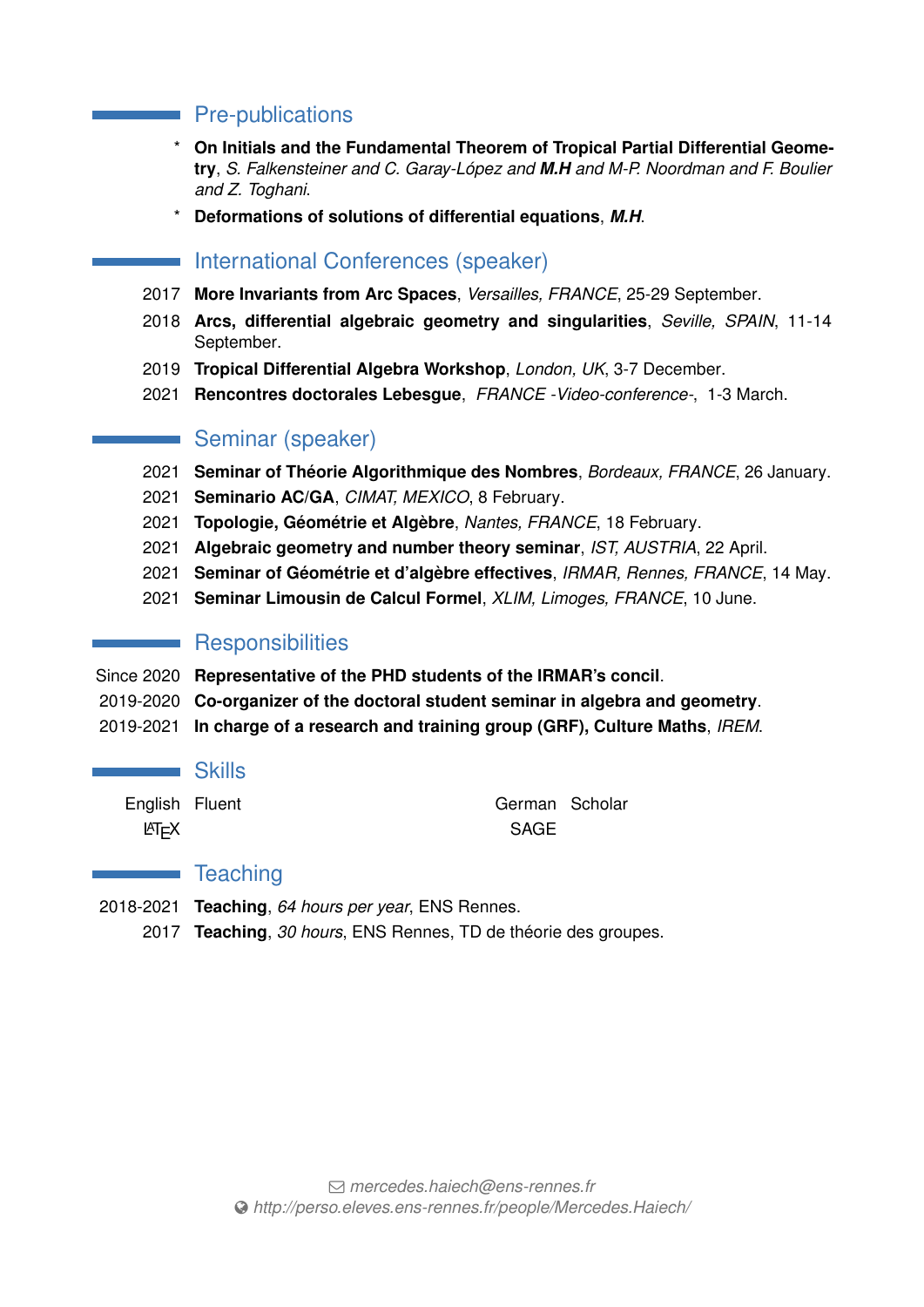# Pre-publications

- \* **On Initials and the Fundamental Theorem of Tropical Partial Differential Geometry**, *S. Falkensteiner and C. Garay-López and M.H and M-P. Noordman and F. Boulier and Z. Toghani*.
- \* **Deformations of solutions of differential equations**, *M.H*.

# **International Conferences (speaker)**

- 2017 **More Invariants from Arc Spaces**, *Versailles, FRANCE*, 25-29 September.
- 2018 **Arcs, differential algebraic geometry and singularities**, *Seville, SPAIN*, 11-14 September.
- 2019 **Tropical Differential Algebra Workshop**, *London, UK*, 3-7 December.
- 2021 **Rencontres doctorales Lebesgue**, *FRANCE -Video-conference-*, 1-3 March.

# Seminar (speaker)

- 2021 **Seminar of Théorie Algorithmique des Nombres**, *Bordeaux, FRANCE*, 26 January.
- 2021 **Seminario AC/GA**, *CIMAT, MEXICO*, 8 February.
- 2021 **Topologie, Géométrie et Algèbre**, *Nantes, FRANCE*, 18 February.
- 2021 **Algebraic geometry and number theory seminar**, *IST, AUSTRIA*, 22 April.
- 2021 **Seminar of Géométrie et d'algèbre effectives**, *IRMAR, Rennes, FRANCE*, 14 May.
- 2021 **Seminar Limousin de Calcul Formel**, *XLIM, Limoges, FRANCE*, 10 June.

# **Responsibilities**

- Since 2020 **Representative of the PHD students of the IRMAR's concil**.
- 2019-2020 **Co-organizer of the doctoral student seminar in algebra and geometry**.
- 2019-2021 **In charge of a research and training group (GRF), Culture Maths**, *IREM*.

#### **Skills**

LAT<sub>E</sub>X SAGE

English Fluent German Scholar

## **Teaching**

- 2018-2021 **Teaching**, *64 hours per year*, ENS Rennes.
	- 2017 **Teaching**, *30 hours*, ENS Rennes, TD de théorie des groupes.